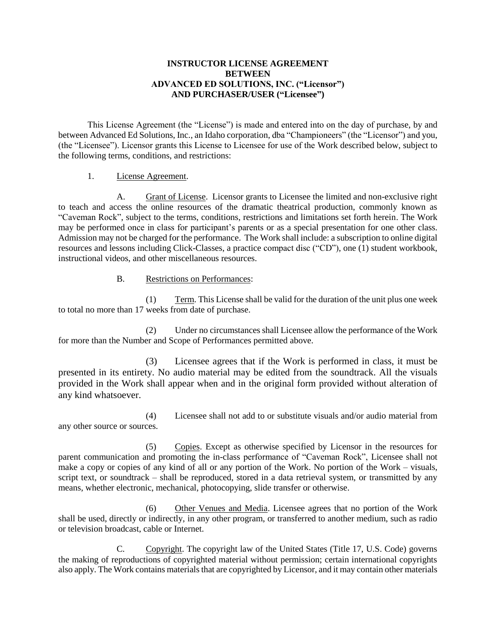### **INSTRUCTOR LICENSE AGREEMENT BETWEEN ADVANCED ED SOLUTIONS, INC. ("Licensor") AND PURCHASER/USER ("Licensee")**

This License Agreement (the "License") is made and entered into on the day of purchase, by and between Advanced Ed Solutions, Inc., an Idaho corporation, dba "Championeers" (the "Licensor") and you, (the "Licensee"). Licensor grants this License to Licensee for use of the Work described below, subject to the following terms, conditions, and restrictions:

### 1. License Agreement.

A. Grant of License. Licensor grants to Licensee the limited and non-exclusive right to teach and access the online resources of the dramatic theatrical production, commonly known as "Caveman Rock", subject to the terms, conditions, restrictions and limitations set forth herein. The Work may be performed once in class for participant's parents or as a special presentation for one other class. Admission may not be charged for the performance. The Work shall include: a subscription to online digital resources and lessons including Click-Classes, a practice compact disc ("CD"), one (1) student workbook, instructional videos, and other miscellaneous resources.

## B. Restrictions on Performances:

(1) Term. This License shall be valid for the duration of the unit plus one week to total no more than 17 weeks from date of purchase.

(2) Under no circumstances shall Licensee allow the performance of the Work for more than the Number and Scope of Performances permitted above.

(3) Licensee agrees that if the Work is performed in class, it must be presented in its entirety. No audio material may be edited from the soundtrack. All the visuals provided in the Work shall appear when and in the original form provided without alteration of any kind whatsoever.

(4) Licensee shall not add to or substitute visuals and/or audio material from any other source or sources.

(5) Copies. Except as otherwise specified by Licensor in the resources for parent communication and promoting the in-class performance of "Caveman Rock", Licensee shall not make a copy or copies of any kind of all or any portion of the Work. No portion of the Work – visuals, script text, or soundtrack – shall be reproduced, stored in a data retrieval system, or transmitted by any means, whether electronic, mechanical, photocopying, slide transfer or otherwise.

(6) Other Venues and Media. Licensee agrees that no portion of the Work shall be used, directly or indirectly, in any other program, or transferred to another medium, such as radio or television broadcast, cable or Internet.

C. Copyright. The copyright law of the United States (Title 17, U.S. Code) governs the making of reproductions of copyrighted material without permission; certain international copyrights also apply. The Work contains materials that are copyrighted by Licensor, and it may contain other materials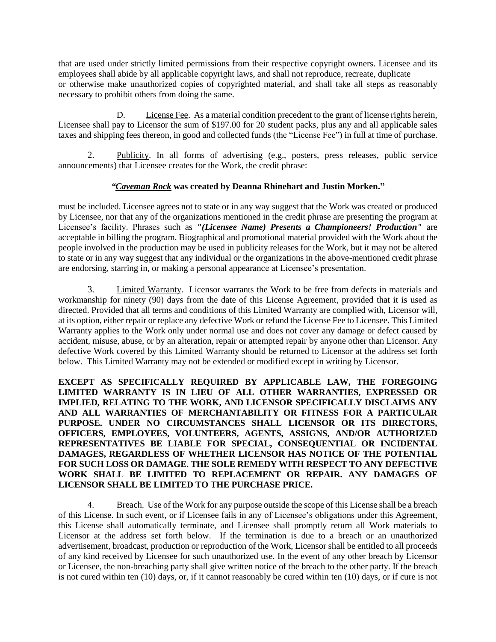that are used under strictly limited permissions from their respective copyright owners. Licensee and its employees shall abide by all applicable copyright laws, and shall not reproduce, recreate, duplicate or otherwise make unauthorized copies of copyrighted material, and shall take all steps as reasonably necessary to prohibit others from doing the same.

D. License Fee. As a material condition precedent to the grant of license rights herein, Licensee shall pay to Licensor the sum of \$197.00 for 20 student packs, plus any and all applicable sales taxes and shipping fees thereon, in good and collected funds (the "License Fee") in full at time of purchase.

2. Publicity. In all forms of advertising (e.g., posters, press releases, public service announcements) that Licensee creates for the Work, the credit phrase:

## *"Caveman Rock* **was created by Deanna Rhinehart and Justin Morken."**

must be included. Licensee agrees not to state or in any way suggest that the Work was created or produced by Licensee, nor that any of the organizations mentioned in the credit phrase are presenting the program at Licensee's facility. Phrases such as *"(Licensee Name) Presents a Championeers! Production"* are acceptable in billing the program. Biographical and promotional material provided with the Work about the people involved in the production may be used in publicity releases for the Work, but it may not be altered to state or in any way suggest that any individual or the organizations in the above-mentioned credit phrase are endorsing, starring in, or making a personal appearance at Licensee's presentation.

3. Limited Warranty. Licensor warrants the Work to be free from defects in materials and workmanship for ninety (90) days from the date of this License Agreement, provided that it is used as directed. Provided that all terms and conditions of this Limited Warranty are complied with, Licensor will, at its option, either repair or replace any defective Work or refund the License Fee to Licensee. This Limited Warranty applies to the Work only under normal use and does not cover any damage or defect caused by accident, misuse, abuse, or by an alteration, repair or attempted repair by anyone other than Licensor. Any defective Work covered by this Limited Warranty should be returned to Licensor at the address set forth below. This Limited Warranty may not be extended or modified except in writing by Licensor.

**EXCEPT AS SPECIFICALLY REQUIRED BY APPLICABLE LAW, THE FOREGOING LIMITED WARRANTY IS IN LIEU OF ALL OTHER WARRANTIES, EXPRESSED OR IMPLIED, RELATING TO THE WORK, AND LICENSOR SPECIFICALLY DISCLAIMS ANY AND ALL WARRANTIES OF MERCHANTABILITY OR FITNESS FOR A PARTICULAR PURPOSE. UNDER NO CIRCUMSTANCES SHALL LICENSOR OR ITS DIRECTORS, OFFICERS, EMPLOYEES, VOLUNTEERS, AGENTS, ASSIGNS, AND/OR AUTHORIZED REPRESENTATIVES BE LIABLE FOR SPECIAL, CONSEQUENTIAL OR INCIDENTAL DAMAGES, REGARDLESS OF WHETHER LICENSOR HAS NOTICE OF THE POTENTIAL FOR SUCH LOSS OR DAMAGE. THE SOLE REMEDY WITH RESPECT TO ANY DEFECTIVE WORK SHALL BE LIMITED TO REPLACEMENT OR REPAIR. ANY DAMAGES OF LICENSOR SHALL BE LIMITED TO THE PURCHASE PRICE.**

4. Breach. Use of the Work for any purpose outside the scope of this License shall be a breach of this License. In such event, or if Licensee fails in any of Licensee's obligations under this Agreement, this License shall automatically terminate, and Licensee shall promptly return all Work materials to Licensor at the address set forth below. If the termination is due to a breach or an unauthorized advertisement, broadcast, production or reproduction of the Work, Licensor shall be entitled to all proceeds of any kind received by Licensee for such unauthorized use. In the event of any other breach by Licensor or Licensee, the non-breaching party shall give written notice of the breach to the other party. If the breach is not cured within ten (10) days, or, if it cannot reasonably be cured within ten (10) days, or if cure is not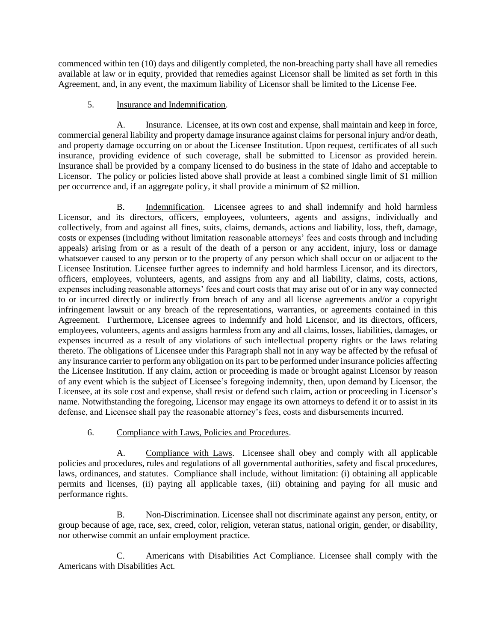commenced within ten (10) days and diligently completed, the non-breaching party shall have all remedies available at law or in equity, provided that remedies against Licensor shall be limited as set forth in this Agreement, and, in any event, the maximum liability of Licensor shall be limited to the License Fee.

# 5. Insurance and Indemnification.

A. Insurance. Licensee, at its own cost and expense, shall maintain and keep in force, commercial general liability and property damage insurance against claims for personal injury and/or death, and property damage occurring on or about the Licensee Institution. Upon request, certificates of all such insurance, providing evidence of such coverage, shall be submitted to Licensor as provided herein. Insurance shall be provided by a company licensed to do business in the state of Idaho and acceptable to Licensor. The policy or policies listed above shall provide at least a combined single limit of \$1 million per occurrence and, if an aggregate policy, it shall provide a minimum of \$2 million.

B. Indemnification. Licensee agrees to and shall indemnify and hold harmless Licensor, and its directors, officers, employees, volunteers, agents and assigns, individually and collectively, from and against all fines, suits, claims, demands, actions and liability, loss, theft, damage, costs or expenses (including without limitation reasonable attorneys' fees and costs through and including appeals) arising from or as a result of the death of a person or any accident, injury, loss or damage whatsoever caused to any person or to the property of any person which shall occur on or adjacent to the Licensee Institution. Licensee further agrees to indemnify and hold harmless Licensor, and its directors, officers, employees, volunteers, agents, and assigns from any and all liability, claims, costs, actions, expenses including reasonable attorneys' fees and court costs that may arise out of or in any way connected to or incurred directly or indirectly from breach of any and all license agreements and/or a copyright infringement lawsuit or any breach of the representations, warranties, or agreements contained in this Agreement. Furthermore, Licensee agrees to indemnify and hold Licensor, and its directors, officers, employees, volunteers, agents and assigns harmless from any and all claims, losses, liabilities, damages, or expenses incurred as a result of any violations of such intellectual property rights or the laws relating thereto. The obligations of Licensee under this Paragraph shall not in any way be affected by the refusal of any insurance carrier to perform any obligation on its part to be performed under insurance policies affecting the Licensee Institution. If any claim, action or proceeding is made or brought against Licensor by reason of any event which is the subject of Licensee's foregoing indemnity, then, upon demand by Licensor, the Licensee, at its sole cost and expense, shall resist or defend such claim, action or proceeding in Licensor's name. Notwithstanding the foregoing, Licensor may engage its own attorneys to defend it or to assist in its defense, and Licensee shall pay the reasonable attorney's fees, costs and disbursements incurred.

# 6. Compliance with Laws, Policies and Procedures.

A. Compliance with Laws. Licensee shall obey and comply with all applicable policies and procedures, rules and regulations of all governmental authorities, safety and fiscal procedures, laws, ordinances, and statutes. Compliance shall include, without limitation: (i) obtaining all applicable permits and licenses, (ii) paying all applicable taxes, (iii) obtaining and paying for all music and performance rights.

B. Non-Discrimination. Licensee shall not discriminate against any person, entity, or group because of age, race, sex, creed, color, religion, veteran status, national origin, gender, or disability, nor otherwise commit an unfair employment practice.

C. Americans with Disabilities Act Compliance. Licensee shall comply with the Americans with Disabilities Act.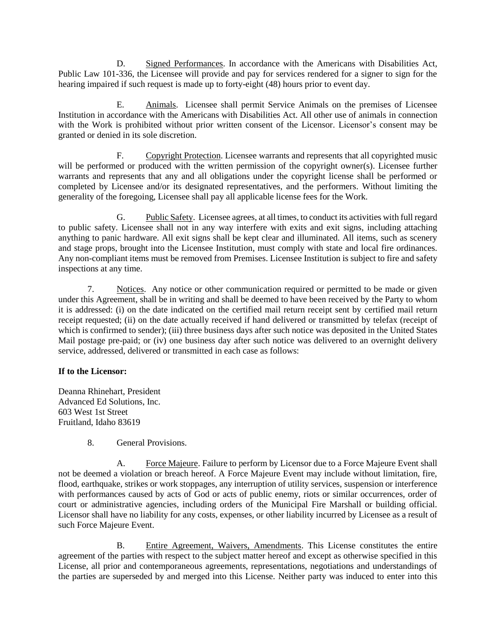D. Signed Performances. In accordance with the Americans with Disabilities Act, Public Law 101-336, the Licensee will provide and pay for services rendered for a signer to sign for the hearing impaired if such request is made up to forty-eight (48) hours prior to event day.

E. Animals. Licensee shall permit Service Animals on the premises of Licensee Institution in accordance with the Americans with Disabilities Act. All other use of animals in connection with the Work is prohibited without prior written consent of the Licensor. Licensor's consent may be granted or denied in its sole discretion.

F. Copyright Protection. Licensee warrants and represents that all copyrighted music will be performed or produced with the written permission of the copyright owner(s). Licensee further warrants and represents that any and all obligations under the copyright license shall be performed or completed by Licensee and/or its designated representatives, and the performers. Without limiting the generality of the foregoing, Licensee shall pay all applicable license fees for the Work.

G. Public Safety. Licensee agrees, at all times, to conduct its activities with full regard to public safety. Licensee shall not in any way interfere with exits and exit signs, including attaching anything to panic hardware. All exit signs shall be kept clear and illuminated. All items, such as scenery and stage props, brought into the Licensee Institution, must comply with state and local fire ordinances. Any non-compliant items must be removed from Premises. Licensee Institution is subject to fire and safety inspections at any time.

7. Notices. Any notice or other communication required or permitted to be made or given under this Agreement, shall be in writing and shall be deemed to have been received by the Party to whom it is addressed: (i) on the date indicated on the certified mail return receipt sent by certified mail return receipt requested; (ii) on the date actually received if hand delivered or transmitted by telefax (receipt of which is confirmed to sender); (iii) three business days after such notice was deposited in the United States Mail postage pre-paid; or (iv) one business day after such notice was delivered to an overnight delivery service, addressed, delivered or transmitted in each case as follows:

# **If to the Licensor:**

Deanna Rhinehart, President Advanced Ed Solutions, Inc. 603 West 1st Street Fruitland, Idaho 83619

8. General Provisions.

A. Force Majeure. Failure to perform by Licensor due to a Force Majeure Event shall not be deemed a violation or breach hereof. A Force Majeure Event may include without limitation, fire, flood, earthquake, strikes or work stoppages, any interruption of utility services, suspension or interference with performances caused by acts of God or acts of public enemy, riots or similar occurrences, order of court or administrative agencies, including orders of the Municipal Fire Marshall or building official. Licensor shall have no liability for any costs, expenses, or other liability incurred by Licensee as a result of such Force Majeure Event.

B. Entire Agreement, Waivers, Amendments. This License constitutes the entire agreement of the parties with respect to the subject matter hereof and except as otherwise specified in this License, all prior and contemporaneous agreements, representations, negotiations and understandings of the parties are superseded by and merged into this License. Neither party was induced to enter into this